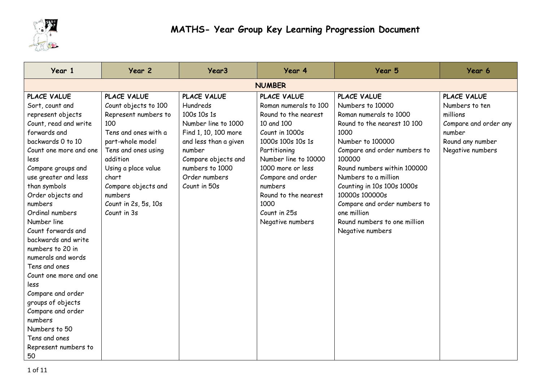

| Year 1                 | Year 2               | Year <sub>3</sub>     | Year 4                | Year 5                       | Year 6                |
|------------------------|----------------------|-----------------------|-----------------------|------------------------------|-----------------------|
|                        |                      |                       | <b>NUMBER</b>         |                              |                       |
| <b>PLACE VALUE</b>     | PLACE VALUE          | PLACE VALUE           | PLACE VALUE           | PLACE VALUE                  | PLACE VALUE           |
| Sort, count and        | Count objects to 100 | Hundreds              | Roman numerals to 100 | Numbers to 10000             | Numbers to ten        |
| represent objects      | Represent numbers to | 100s 10s 1s           | Round to the nearest  | Roman numerals to 1000       | millions              |
| Count, read and write  | 100                  | Number line to 1000   | 10 and 100            | Round to the nearest 10 100  | Compare and order any |
| forwards and           | Tens and ones with a | Find 1, 10, 100 more  | Count in 1000s        | 1000                         | number                |
| backwards 0 to 10      | part-whole model     | and less than a given | 1000s 100s 10s 1s     | Number to 100000             | Round any number      |
| Count one more and one | Tens and ones using  | number                | Partitioning          | Compare and order numbers to | Negative numbers      |
| less                   | addition             | Compare objects and   | Number line to 10000  | 100000                       |                       |
| Compare groups and     | Using a place value  | numbers to 1000       | 1000 more or less     | Round numbers within 100000  |                       |
| use greater and less   | chart                | Order numbers         | Compare and order     | Numbers to a million         |                       |
| than symbols           | Compare objects and  | Count in 50s          | numbers               | Counting in 10s 100s 1000s   |                       |
| Order objects and      | numbers              |                       | Round to the nearest  | 10000s 100000s               |                       |
| numbers                | Count in 2s, 5s, 10s |                       | 1000                  | Compare and order numbers to |                       |
| Ordinal numbers        | Count in 3s          |                       | Count in 25s          | one million                  |                       |
| Number line            |                      |                       | Negative numbers      | Round numbers to one million |                       |
| Count forwards and     |                      |                       |                       | Negative numbers             |                       |
| backwards and write    |                      |                       |                       |                              |                       |
| numbers to 20 in       |                      |                       |                       |                              |                       |
| numerals and words     |                      |                       |                       |                              |                       |
| Tens and ones          |                      |                       |                       |                              |                       |
| Count one more and one |                      |                       |                       |                              |                       |
| less                   |                      |                       |                       |                              |                       |
| Compare and order      |                      |                       |                       |                              |                       |
| groups of objects      |                      |                       |                       |                              |                       |
| Compare and order      |                      |                       |                       |                              |                       |
| numbers                |                      |                       |                       |                              |                       |
| Numbers to 50          |                      |                       |                       |                              |                       |
| Tens and ones          |                      |                       |                       |                              |                       |
| Represent numbers to   |                      |                       |                       |                              |                       |
| 50                     |                      |                       |                       |                              |                       |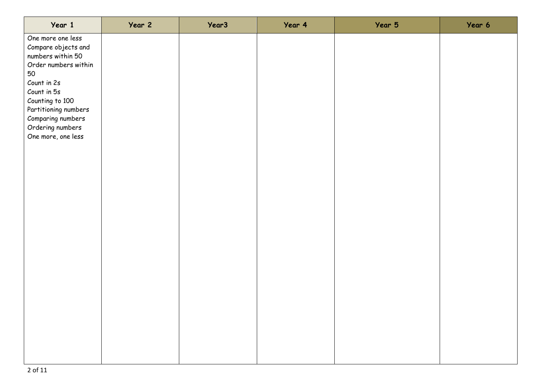| Year 1                                                                                                                                                                                                                              | Year 2 | Year <sub>3</sub> | Year 4 | Year 5 | Year 6 |
|-------------------------------------------------------------------------------------------------------------------------------------------------------------------------------------------------------------------------------------|--------|-------------------|--------|--------|--------|
| One more one less<br>Compare objects and<br>numbers within 50<br>Order numbers within<br>50<br>Count in 2s<br>Count in 5s<br>Counting to 100<br>Partitioning numbers<br>Comparing numbers<br>Ordering numbers<br>One more, one less |        |                   |        |        |        |
|                                                                                                                                                                                                                                     |        |                   |        |        |        |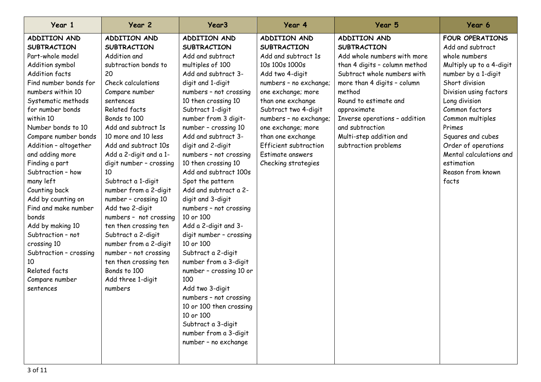| Year 1                 | Year 2                  | Year <sub>3</sub>       | Year 4                       | Year 5                        | Year 6                   |
|------------------------|-------------------------|-------------------------|------------------------------|-------------------------------|--------------------------|
| ADDITION AND           | ADDITION AND            | <b>ADDITION AND</b>     | ADDITION AND                 | ADDITION AND                  | <b>FOUR OPERATIONS</b>   |
| <b>SUBTRACTION</b>     | <b>SUBTRACTION</b>      | <b>SUBTRACTION</b>      | <b>SUBTRACTION</b>           | <b>SUBTRACTION</b>            | Add and subtract         |
| Part-whole model       | Addition and            | Add and subtract        | Add and subtract 1s          | Add whole numbers with more   | whole numbers            |
| Addition symbol        | subtraction bonds to    | multiples of 100        | 10s 100s 1000s               | than 4 digits - column method | Multiply up to a 4-digit |
| <b>Addition facts</b>  | 20                      | Add and subtract 3-     | Add two 4-digit              | Subtract whole numbers with   | number by a 1-digit      |
| Find number bonds for  | Check calculations      | digit and 1-digit       | numbers - no exchange;       | more than 4 digits - column   | Short division           |
| numbers within 10      | Compare number          | numbers - not crossing  | one exchange; more           | method                        | Division using factors   |
| Systematic methods     | sentences               | 10 then crossing 10     | than one exchange            | Round to estimate and         | Long division            |
| for number bonds       | Related facts           | Subtract 1-digit        | Subtract two 4-digit         | approximate                   | Common factors           |
| within 10              | Bonds to 100            | number from 3 digit-    | numbers - no exchange;       | Inverse operations - addition | Common multiples         |
| Number bonds to 10     | Add and subtract 1s     | number - crossing 10    | one exchange; more           | and subtraction               | Primes                   |
| Compare number bonds   | 10 more and 10 less     | Add and subtract 3-     | than one exchange            | Multi-step addition and       | Squares and cubes        |
| Addition - altogether  | Add and subtract 10s    | digit and 2-digit       | <b>Efficient subtraction</b> | subtraction problems          | Order of operations      |
| and adding more        | Add a 2-digit and a 1-  | numbers - not crossing  | Estimate answers             |                               | Mental calculations and  |
| Finding a part         | digit number - crossing | 10 then crossing 10     | Checking strategies          |                               | estimation               |
| Subtraction - how      | 10                      | Add and subtract 100s   |                              |                               | Reason from known        |
| many left              | Subtract a 1-digit      | Spot the pattern        |                              |                               | facts                    |
| Counting back          | number from a 2-digit   | Add and subtract a 2-   |                              |                               |                          |
| Add by counting on     | number - crossing 10    | digit and 3-digit       |                              |                               |                          |
| Find and make number   | Add two 2-digit         | numbers - not crossing  |                              |                               |                          |
| bonds                  | numbers - not crossing  | 10 or 100               |                              |                               |                          |
| Add by making 10       | ten then crossing ten   | Add a 2-digit and 3-    |                              |                               |                          |
| Subtraction - not      | Subtract a 2-digit      | digit number - crossing |                              |                               |                          |
| crossing 10            | number from a 2-digit   | 10 or 100               |                              |                               |                          |
| Subtraction - crossing | number - not crossing   | Subtract a 2-digit      |                              |                               |                          |
| 10                     | ten then crossing ten   | number from a 3-digit   |                              |                               |                          |
| Related facts          | Bonds to 100            | number - crossing 10 or |                              |                               |                          |
| Compare number         | Add three 1-digit       | 100                     |                              |                               |                          |
| sentences              | numbers                 | Add two 3-digit         |                              |                               |                          |
|                        |                         | numbers - not crossing  |                              |                               |                          |
|                        |                         | 10 or 100 then crossing |                              |                               |                          |
|                        |                         | 10 or 100               |                              |                               |                          |
|                        |                         | Subtract a 3-digit      |                              |                               |                          |
|                        |                         | number from a 3-digit   |                              |                               |                          |
|                        |                         | number - no exchange    |                              |                               |                          |
|                        |                         |                         |                              |                               |                          |
|                        |                         |                         |                              |                               |                          |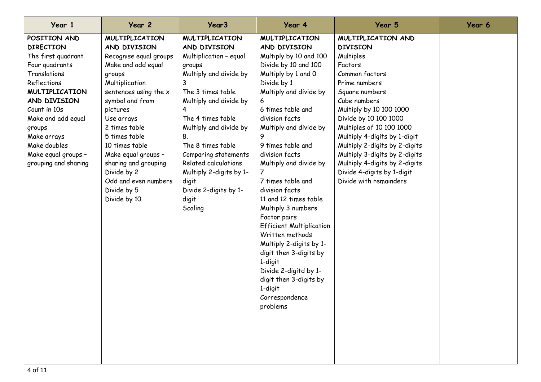| Year 1                                                                                                                                                                                                                                                                         | Year 2                                                                                                                                                                                                                                                                                                                                                           | Year <sub>3</sub>                                                                                                                                                                                                                                                                                                                                                  | Year 4                                                                                                                                                                                                                                                                                                                                                                                                                                                                                                                                                                                                                      | Year 5                                                                                                                                                                                                                                                                                                                                                                                                        | Year 6 |
|--------------------------------------------------------------------------------------------------------------------------------------------------------------------------------------------------------------------------------------------------------------------------------|------------------------------------------------------------------------------------------------------------------------------------------------------------------------------------------------------------------------------------------------------------------------------------------------------------------------------------------------------------------|--------------------------------------------------------------------------------------------------------------------------------------------------------------------------------------------------------------------------------------------------------------------------------------------------------------------------------------------------------------------|-----------------------------------------------------------------------------------------------------------------------------------------------------------------------------------------------------------------------------------------------------------------------------------------------------------------------------------------------------------------------------------------------------------------------------------------------------------------------------------------------------------------------------------------------------------------------------------------------------------------------------|---------------------------------------------------------------------------------------------------------------------------------------------------------------------------------------------------------------------------------------------------------------------------------------------------------------------------------------------------------------------------------------------------------------|--------|
| POSITION AND<br><b>DIRECTION</b><br>The first quadrant<br>Four quadrants<br>Translations<br>Reflections<br><b>MULTIPLICATION</b><br>AND DIVISION<br>Count in 10s<br>Make and add equal<br>groups<br>Make arrays<br>Make doubles<br>Make equal groups -<br>grouping and sharing | <b>MULTIPLICATION</b><br>AND DIVISION<br>Recognise equal groups<br>Make and add equal<br>groups<br>Multiplication<br>sentences using the x<br>symbol and from<br>pictures<br>Use arrays<br>2 times table<br>5 times table<br>10 times table<br>Make equal groups -<br>sharing and grouping<br>Divide by 2<br>Odd and even numbers<br>Divide by 5<br>Divide by 10 | <b>MULTIPLICATION</b><br>AND DIVISION<br>Multiplication - equal<br>groups<br>Multiply and divide by<br>The 3 times table<br>Multiply and divide by<br>4<br>The 4 times table<br>Multiply and divide by<br>8.<br>The 8 times table<br>Comparing statements<br>Related calculations<br>Multiply 2-digits by 1-<br>digit<br>Divide 2-digits by 1-<br>digit<br>Scaling | <b>MULTIPLICATION</b><br>AND DIVISION<br>Multiply by 10 and 100<br>Divide by 10 and 100<br>Multiply by 1 and 0<br>Divide by 1<br>Multiply and divide by<br>6<br>6 times table and<br>division facts<br>Multiply and divide by<br>9 times table and<br>division facts<br>Multiply and divide by<br>7<br>7 times table and<br>division facts<br>11 and 12 times table<br>Multiply 3 numbers<br>Factor pairs<br><b>Efficient Multiplication</b><br>Written methods<br>Multiply 2-digits by 1-<br>digit then 3-digits by<br>1-digit<br>Divide 2-digitd by 1-<br>digit then 3-digits by<br>1-digit<br>Correspondence<br>problems | MULTIPLICATION AND<br><b>DIVISION</b><br>Multiples<br>Factors<br>Common factors<br>Prime numbers<br>Square numbers<br>Cube numbers<br>Multiply by 10 100 1000<br>Divide by 10 100 1000<br>Multiples of 10 100 1000<br>Multiply 4-digits by 1-digit<br>Multiply 2-digits by 2-digits<br>Multiply 3-digits by 2-digits<br>Multiply 4-digits by 2-digits<br>Divide 4-digits by 1-digit<br>Divide with remainders |        |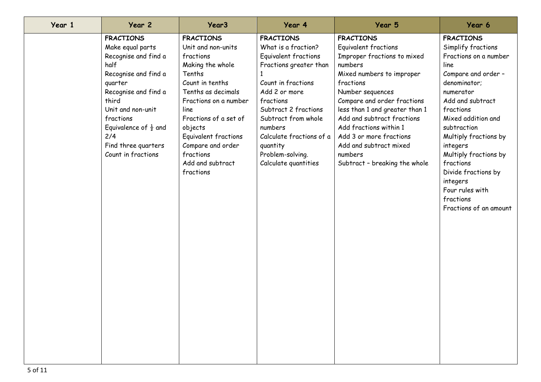| Year 1 | Year 2                                                                                                                                                                                                                                                             | Year <sub>3</sub>                                                                                                                                                                                                                                                                          | Year 4                                                                                                                                                                                                                                                                                      | Year 5                                                                                                                                                                                                                                                                                                                                                                     | Year 6                                                                                                                                                                                                                                                                                                                                                                    |
|--------|--------------------------------------------------------------------------------------------------------------------------------------------------------------------------------------------------------------------------------------------------------------------|--------------------------------------------------------------------------------------------------------------------------------------------------------------------------------------------------------------------------------------------------------------------------------------------|---------------------------------------------------------------------------------------------------------------------------------------------------------------------------------------------------------------------------------------------------------------------------------------------|----------------------------------------------------------------------------------------------------------------------------------------------------------------------------------------------------------------------------------------------------------------------------------------------------------------------------------------------------------------------------|---------------------------------------------------------------------------------------------------------------------------------------------------------------------------------------------------------------------------------------------------------------------------------------------------------------------------------------------------------------------------|
|        | <b>FRACTIONS</b><br>Make equal parts<br>Recognise and find a<br>half<br>Recognise and find a<br>quarter<br>Recognise and find a<br>third<br>Unit and non-unit<br>fractions<br>Equivalence of $\frac{1}{2}$ and<br>2/4<br>Find three quarters<br>Count in fractions | <b>FRACTIONS</b><br>Unit and non-units<br>fractions<br>Making the whole<br>Tenths<br>Count in tenths<br>Tenths as decimals<br>Fractions on a number<br>line<br>Fractions of a set of<br>objects<br>Equivalent fractions<br>Compare and order<br>fractions<br>Add and subtract<br>fractions | <b>FRACTIONS</b><br>What is a fraction?<br>Equivalent fractions<br>Fractions greater than<br>Count in fractions<br>Add 2 or more<br>fractions<br>Subtract 2 fractions<br>Subtract from whole<br>numbers<br>Calculate fractions of a<br>quantity<br>Problem-solving.<br>Calculate quantities | <b>FRACTIONS</b><br>Equivalent fractions<br>Improper fractions to mixed<br>numbers<br>Mixed numbers to improper<br>fractions<br>Number sequences<br>Compare and order fractions<br>less than 1 and greater than 1<br>Add and subtract fractions<br>Add fractions within 1<br>Add 3 or more fractions<br>Add and subtract mixed<br>numbers<br>Subtract - breaking the whole | <b>FRACTIONS</b><br>Simplify fractions<br>Fractions on a number<br>line<br>Compare and order -<br>denominator;<br>numerator<br>Add and subtract<br>fractions<br>Mixed addition and<br>subtraction<br>Multiply fractions by<br>integers<br>Multiply fractions by<br>fractions<br>Divide fractions by<br>integers<br>Four rules with<br>fractions<br>Fractions of an amount |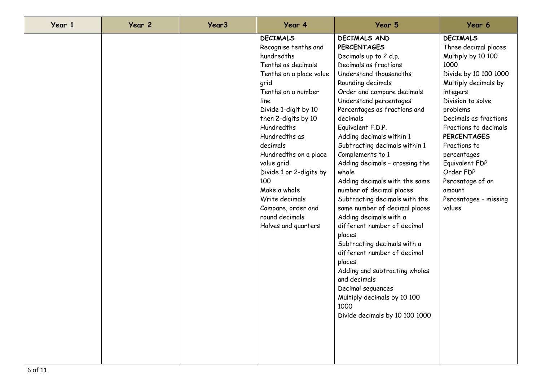| Year 1 | Year 2 | Year <sub>3</sub> | Year 4                                                                                                                                                                                                                                                                                                                                                                                                           | Year 5                                                                                                                                                                                                                                                                                                                                                                                                                                                                                                                                                                                                                                                                                                                                                                                                                   | Year 6                                                                                                                                                                                                                                                                                                                                                                     |
|--------|--------|-------------------|------------------------------------------------------------------------------------------------------------------------------------------------------------------------------------------------------------------------------------------------------------------------------------------------------------------------------------------------------------------------------------------------------------------|--------------------------------------------------------------------------------------------------------------------------------------------------------------------------------------------------------------------------------------------------------------------------------------------------------------------------------------------------------------------------------------------------------------------------------------------------------------------------------------------------------------------------------------------------------------------------------------------------------------------------------------------------------------------------------------------------------------------------------------------------------------------------------------------------------------------------|----------------------------------------------------------------------------------------------------------------------------------------------------------------------------------------------------------------------------------------------------------------------------------------------------------------------------------------------------------------------------|
|        |        |                   | <b>DECIMALS</b><br>Recognise tenths and<br>hundredths<br>Tenths as decimals<br>Tenths on a place value<br>grid<br>Tenths on a number<br>line<br>Divide 1-digit by 10<br>then 2-digits by 10<br>Hundredths<br>Hundredths as<br>decimals<br>Hundredths on a place<br>value grid<br>Divide 1 or 2-digits by<br>100<br>Make a whole<br>Write decimals<br>Compare, order and<br>round decimals<br>Halves and quarters | <b>DECIMALS AND</b><br><b>PERCENTAGES</b><br>Decimals up to 2 d.p.<br>Decimals as fractions<br>Understand thousandths<br>Rounding decimals<br>Order and compare decimals<br>Understand percentages<br>Percentages as fractions and<br>decimals<br>Equivalent F.D.P.<br>Adding decimals within 1<br>Subtracting decimals within 1<br>Complements to 1<br>Adding decimals - crossing the<br>whole<br>Adding decimals with the same<br>number of decimal places<br>Subtracting decimals with the<br>same number of decimal places<br>Adding decimals with a<br>different number of decimal<br>places<br>Subtracting decimals with a<br>different number of decimal<br>places<br>Adding and subtracting wholes<br>and decimals<br>Decimal sequences<br>Multiply decimals by 10 100<br>1000<br>Divide decimals by 10 100 1000 | <b>DECIMALS</b><br>Three decimal places<br>Multiply by 10 100<br>1000<br>Divide by 10 100 1000<br>Multiply decimals by<br>integers<br>Division to solve<br>problems<br>Decimals as fractions<br>Fractions to decimals<br><b>PERCENTAGES</b><br>Fractions to<br>percentages<br>Equivalent FDP<br>Order FDP<br>Percentage of an<br>amount<br>Percentages - missing<br>values |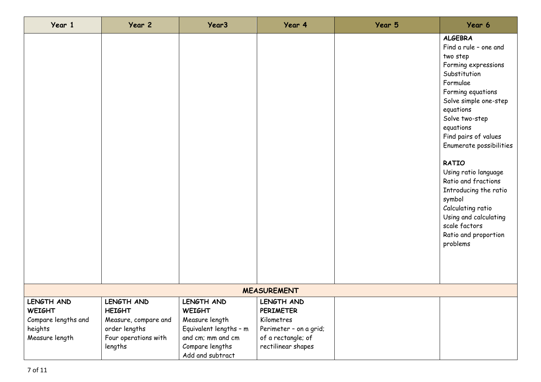| Year 1              | Year 2               | Year <sub>3</sub>      | Year 4                 | Year 5 | Year 6                                                                                                                                                                                                                                                                                                                                                                                                                                                   |  |  |
|---------------------|----------------------|------------------------|------------------------|--------|----------------------------------------------------------------------------------------------------------------------------------------------------------------------------------------------------------------------------------------------------------------------------------------------------------------------------------------------------------------------------------------------------------------------------------------------------------|--|--|
|                     |                      |                        |                        |        | <b>ALGEBRA</b><br>Find a rule - one and<br>two step<br>Forming expressions<br>Substitution<br>Formulae<br>Forming equations<br>Solve simple one-step<br>equations<br>Solve two-step<br>equations<br>Find pairs of values<br>Enumerate possibilities<br><b>RATIO</b><br>Using ratio language<br>Ratio and fractions<br>Introducing the ratio<br>symbol<br>Calculating ratio<br>Using and calculating<br>scale factors<br>Ratio and proportion<br>problems |  |  |
| <b>MEASUREMENT</b>  |                      |                        |                        |        |                                                                                                                                                                                                                                                                                                                                                                                                                                                          |  |  |
| LENGTH AND          | LENGTH AND           | LENGTH AND             | LENGTH AND             |        |                                                                                                                                                                                                                                                                                                                                                                                                                                                          |  |  |
| <b>WEIGHT</b>       | <b>HEIGHT</b>        | <b>WEIGHT</b>          | <b>PERIMETER</b>       |        |                                                                                                                                                                                                                                                                                                                                                                                                                                                          |  |  |
| Compare lengths and | Measure, compare and | Measure length         | Kilometres             |        |                                                                                                                                                                                                                                                                                                                                                                                                                                                          |  |  |
| heights             | order lengths        | Equivalent lengths - m | Perimeter - on a grid; |        |                                                                                                                                                                                                                                                                                                                                                                                                                                                          |  |  |
| Measure length      | Four operations with | and cm; mm and cm      | of a rectangle; of     |        |                                                                                                                                                                                                                                                                                                                                                                                                                                                          |  |  |
|                     | lengths              | Compare lengths        | rectilinear shapes     |        |                                                                                                                                                                                                                                                                                                                                                                                                                                                          |  |  |
|                     |                      | Add and subtract       |                        |        |                                                                                                                                                                                                                                                                                                                                                                                                                                                          |  |  |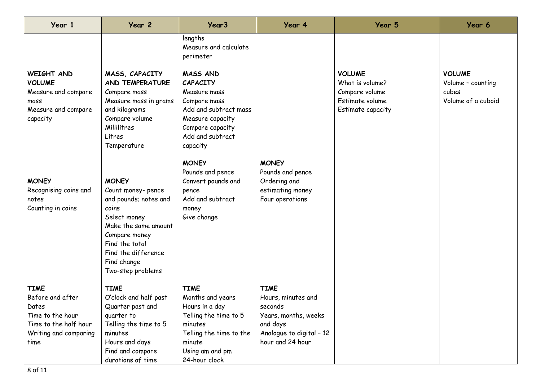| Year 1                                                                                        | Year 2                                                                                                                                                | Year <sub>3</sub>                                                                                                                                                   | Year 4                           | Year 5                                                                                     | Year 6                                                            |
|-----------------------------------------------------------------------------------------------|-------------------------------------------------------------------------------------------------------------------------------------------------------|---------------------------------------------------------------------------------------------------------------------------------------------------------------------|----------------------------------|--------------------------------------------------------------------------------------------|-------------------------------------------------------------------|
|                                                                                               |                                                                                                                                                       | lengths<br>Measure and calculate<br>perimeter                                                                                                                       |                                  |                                                                                            |                                                                   |
| WEIGHT AND<br><b>VOLUME</b><br>Measure and compare<br>mass<br>Measure and compare<br>capacity | MASS, CAPACITY<br>AND TEMPERATURE<br>Compare mass<br>Measure mass in grams<br>and kilograms<br>Compare volume<br>Millilitres<br>Litres<br>Temperature | <b>MASS AND</b><br><b>CAPACITY</b><br>Measure mass<br>Compare mass<br>Add and subtract mass<br>Measure capacity<br>Compare capacity<br>Add and subtract<br>capacity |                                  | <b>VOLUME</b><br>What is volume?<br>Compare volume<br>Estimate volume<br>Estimate capacity | <b>VOLUME</b><br>Volume - counting<br>cubes<br>Volume of a cuboid |
|                                                                                               |                                                                                                                                                       | <b>MONEY</b><br>Pounds and pence                                                                                                                                    | <b>MONEY</b><br>Pounds and pence |                                                                                            |                                                                   |
| <b>MONEY</b>                                                                                  | <b>MONEY</b>                                                                                                                                          | Convert pounds and                                                                                                                                                  | Ordering and                     |                                                                                            |                                                                   |
| Recognising coins and                                                                         | Count money- pence                                                                                                                                    | pence                                                                                                                                                               | estimating money                 |                                                                                            |                                                                   |
| notes                                                                                         | and pounds; notes and                                                                                                                                 | Add and subtract                                                                                                                                                    | Four operations                  |                                                                                            |                                                                   |
| Counting in coins                                                                             | coins                                                                                                                                                 | money                                                                                                                                                               |                                  |                                                                                            |                                                                   |
|                                                                                               | Select money<br>Make the same amount                                                                                                                  | Give change                                                                                                                                                         |                                  |                                                                                            |                                                                   |
|                                                                                               | Compare money                                                                                                                                         |                                                                                                                                                                     |                                  |                                                                                            |                                                                   |
|                                                                                               | Find the total                                                                                                                                        |                                                                                                                                                                     |                                  |                                                                                            |                                                                   |
|                                                                                               | Find the difference                                                                                                                                   |                                                                                                                                                                     |                                  |                                                                                            |                                                                   |
|                                                                                               | Find change                                                                                                                                           |                                                                                                                                                                     |                                  |                                                                                            |                                                                   |
|                                                                                               | Two-step problems                                                                                                                                     |                                                                                                                                                                     |                                  |                                                                                            |                                                                   |
| <b>TIME</b>                                                                                   | <b>TIME</b>                                                                                                                                           | <b>TIME</b>                                                                                                                                                         | <b>TIME</b>                      |                                                                                            |                                                                   |
| Before and after                                                                              | O'clock and half past                                                                                                                                 | Months and years                                                                                                                                                    | Hours, minutes and               |                                                                                            |                                                                   |
| Dates                                                                                         | Quarter past and                                                                                                                                      | Hours in a day                                                                                                                                                      | seconds                          |                                                                                            |                                                                   |
| Time to the hour                                                                              | quarter to                                                                                                                                            | Telling the time to 5                                                                                                                                               | Years, months, weeks             |                                                                                            |                                                                   |
| Time to the half hour                                                                         | Telling the time to 5                                                                                                                                 | minutes                                                                                                                                                             | and days                         |                                                                                            |                                                                   |
| Writing and comparing                                                                         | minutes                                                                                                                                               | Telling the time to the                                                                                                                                             | Analogue to digital - 12         |                                                                                            |                                                                   |
| time                                                                                          | Hours and days                                                                                                                                        | minute                                                                                                                                                              | hour and 24 hour                 |                                                                                            |                                                                   |
|                                                                                               | Find and compare                                                                                                                                      | Using am and pm                                                                                                                                                     |                                  |                                                                                            |                                                                   |
|                                                                                               | durations of time                                                                                                                                     | 24-hour clock                                                                                                                                                       |                                  |                                                                                            |                                                                   |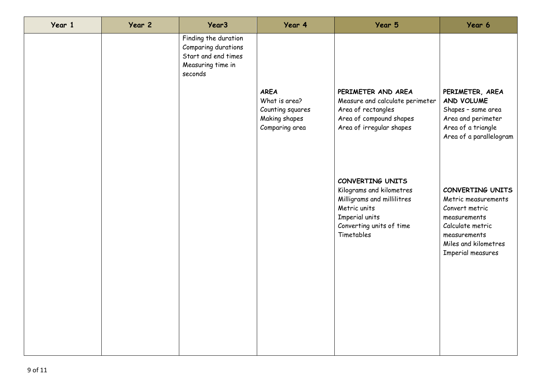| Year 1 | Year 2 | Year <sub>3</sub>                                                                                  | Year 4                                                                              | Year 5                                                                                                                                                 | Year 6                                                                                                                                                     |
|--------|--------|----------------------------------------------------------------------------------------------------|-------------------------------------------------------------------------------------|--------------------------------------------------------------------------------------------------------------------------------------------------------|------------------------------------------------------------------------------------------------------------------------------------------------------------|
|        |        | Finding the duration<br>Comparing durations<br>Start and end times<br>Measuring time in<br>seconds |                                                                                     |                                                                                                                                                        |                                                                                                                                                            |
|        |        |                                                                                                    | <b>AREA</b><br>What is area?<br>Counting squares<br>Making shapes<br>Comparing area | PERIMETER AND AREA<br>Measure and calculate perimeter<br>Area of rectangles<br>Area of compound shapes<br>Area of irregular shapes                     | PERIMETER, AREA<br>AND VOLUME<br>Shapes - same area<br>Area and perimeter<br>Area of a triangle<br>Area of a parallelogram                                 |
|        |        |                                                                                                    |                                                                                     | CONVERTING UNITS<br>Kilograms and kilometres<br>Milligrams and millilitres<br>Metric units<br>Imperial units<br>Converting units of time<br>Timetables | CONVERTING UNITS<br>Metric measurements<br>Convert metric<br>measurements<br>Calculate metric<br>measurements<br>Miles and kilometres<br>Imperial measures |
|        |        |                                                                                                    |                                                                                     |                                                                                                                                                        |                                                                                                                                                            |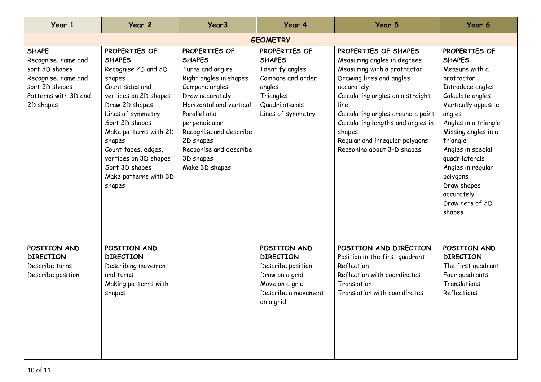| Year 1                                                                                                                              | Year 2                                                                                                                                                                                                                                                                                                       | Year <sub>3</sub>                                                                                                                                                                                                                                                             | Year 4                                                                                                                               | Year 5                                                                                                                                                                                                                                                                                                                       | Year 6                                                                                                                                                                                                                                                                                                                               |  |  |
|-------------------------------------------------------------------------------------------------------------------------------------|--------------------------------------------------------------------------------------------------------------------------------------------------------------------------------------------------------------------------------------------------------------------------------------------------------------|-------------------------------------------------------------------------------------------------------------------------------------------------------------------------------------------------------------------------------------------------------------------------------|--------------------------------------------------------------------------------------------------------------------------------------|------------------------------------------------------------------------------------------------------------------------------------------------------------------------------------------------------------------------------------------------------------------------------------------------------------------------------|--------------------------------------------------------------------------------------------------------------------------------------------------------------------------------------------------------------------------------------------------------------------------------------------------------------------------------------|--|--|
| <b>GEOMETRY</b>                                                                                                                     |                                                                                                                                                                                                                                                                                                              |                                                                                                                                                                                                                                                                               |                                                                                                                                      |                                                                                                                                                                                                                                                                                                                              |                                                                                                                                                                                                                                                                                                                                      |  |  |
| <b>SHAPE</b><br>Recognise, name and<br>sort 3D shapes<br>Recognise, name and<br>sort 2D shapes<br>Patterns with 3D and<br>2D shapes | PROPERTIES OF<br><b>SHAPES</b><br>Recognise 2D and 3D<br>shapes<br>Count sides and<br>vertices on 2D shapes<br>Draw 2D shapes<br>Lines of symmetry<br>Sort 2D shapes<br>Make patterns with 2D<br>shapes<br>Count faces, edges,<br>vertices on 3D shapes<br>Sort 3D shapes<br>Make patterns with 3D<br>shapes | PROPERTIES OF<br><b>SHAPES</b><br>Turns and angles<br>Right angles in shapes<br>Compare angles<br>Draw accurately<br>Horizontal and vertical<br>Parallel and<br>perpendicular<br>Recognise and describe<br>2D shapes<br>Recognise and describe<br>3D shapes<br>Make 3D shapes | PROPERTIES OF<br><b>SHAPES</b><br>Identify angles<br>Compare and order<br>angles<br>Triangles<br>Quadrilaterals<br>Lines of symmetry | PROPERTIES OF SHAPES<br>Measuring angles in degrees<br>Measuring with a protractor<br>Drawing lines and angles<br>accurately<br>Calculating angles on a straight<br>line<br>Calculating angles around a point<br>Calculating lengths and angles in<br>shapes<br>Regular and irregular polygons<br>Reasoning about 3-D shapes | PROPERTIES OF<br><b>SHAPES</b><br>Measure with a<br>protractor<br>Introduce angles<br>Calculate angles<br>Vertically opposite<br>angles<br>Angles in a triangle<br>Missing angles in a<br>triangle<br>Angles in special<br>quadrilaterals<br>Angles in regular<br>polygons<br>Draw shapes<br>accurately<br>Draw nets of 3D<br>shapes |  |  |
| POSITION AND<br><b>DIRECTION</b><br>Describe turns<br>Describe position                                                             | POSITION AND<br><b>DIRECTION</b><br>Describing movement<br>and turns<br>Making patterns with<br>shapes                                                                                                                                                                                                       |                                                                                                                                                                                                                                                                               | POSITION AND<br><b>DIRECTION</b><br>Describe position<br>Draw on a grid<br>Move on a grid<br>Describe a movement<br>on a grid        | POSITION AND DIRECTION<br>Position in the first quadrant<br>Reflection<br>Reflection with coordinates<br>Translation<br>Translation with coordinates                                                                                                                                                                         | POSITION AND<br><b>DIRECTION</b><br>The first quadrant<br>Four quadrants<br>Translations<br>Reflections                                                                                                                                                                                                                              |  |  |